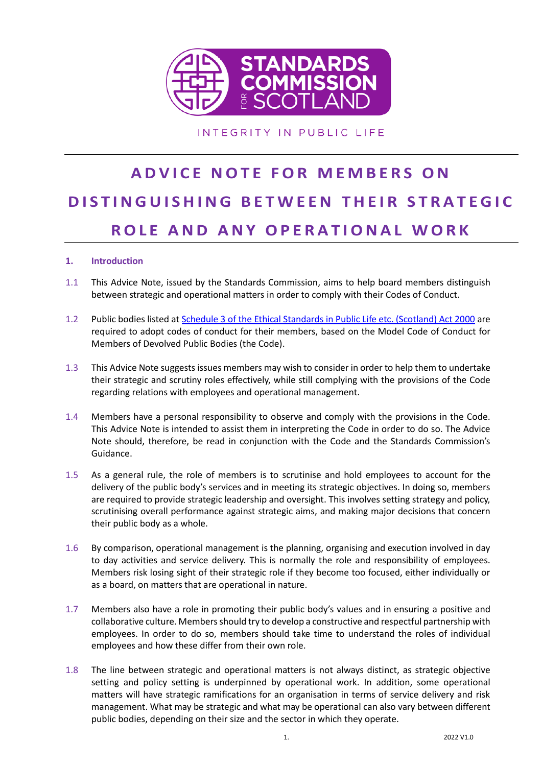

INTEGRITY IN PUBLIC LIFE

# **A D V I C E N O T E F O R M E M B E R S O N DISTINGUISHING BETWEEN THEIR STRATEGIC R O L E A N D A N Y O P E R A T I O N A L W O R K**

#### **1. Introduction**

- 1.1 This Advice Note, issued by the Standards Commission, aims to help board members distinguish between strategic and operational matters in order to comply with their Codes of Conduct.
- 1.2 Public bodies listed a[t Schedule 3 of the Ethical Standards in Public Life etc. \(Scotland\) Act 2000](https://www.legislation.gov.uk/asp/2000/7/schedule/3) are required to adopt codes of conduct for their members, based on the Model Code of Conduct for Members of Devolved Public Bodies (the Code).
- 1.3 This Advice Note suggests issues members may wish to consider in order to help them to undertake their strategic and scrutiny roles effectively, while still complying with the provisions of the Code regarding relations with employees and operational management.
- 1.4 Members have a personal responsibility to observe and comply with the provisions in the Code. This Advice Note is intended to assist them in interpreting the Code in order to do so. The Advice Note should, therefore, be read in conjunction with the Code and the Standards Commission's Guidance.
- 1.5 As a general rule, the role of members is to scrutinise and hold employees to account for the delivery of the public body's services and in meeting its strategic objectives. In doing so, members are required to provide strategic leadership and oversight. This involves setting strategy and policy, scrutinising overall performance against strategic aims, and making major decisions that concern their public body as a whole.
- 1.6 By comparison, operational management is the planning, organising and execution involved in day to day activities and service delivery. This is normally the role and responsibility of employees. Members risk losing sight of their strategic role if they become too focused, either individually or as a board, on matters that are operational in nature.
- 1.7 Members also have a role in promoting their public body's values and in ensuring a positive and collaborative culture. Members should try to develop a constructive and respectful partnership with employees. In order to do so, members should take time to understand the roles of individual employees and how these differ from their own role.
- 1.8 The line between strategic and operational matters is not always distinct, as strategic objective setting and policy setting is underpinned by operational work. In addition, some operational matters will have strategic ramifications for an organisation in terms of service delivery and risk management. What may be strategic and what may be operational can also vary between different public bodies, depending on their size and the sector in which they operate.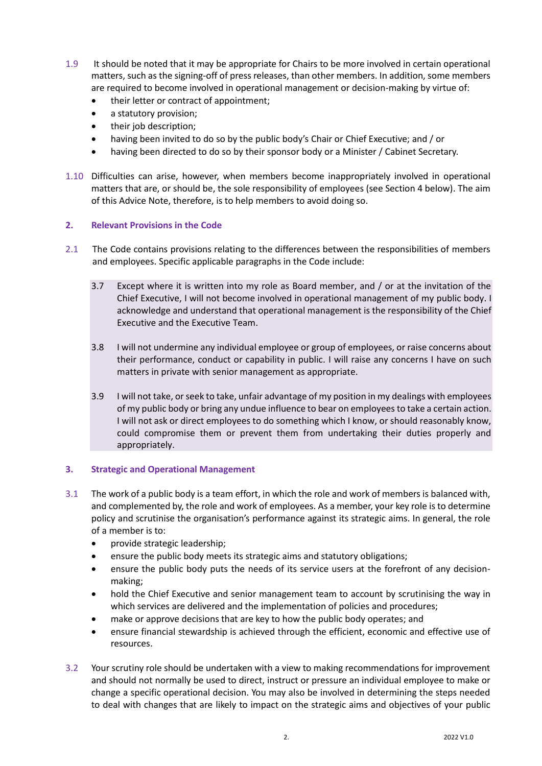- 1.9 It should be noted that it may be appropriate for Chairs to be more involved in certain operational matters, such as the signing-off of press releases, than other members. In addition, some members are required to become involved in operational management or decision-making by virtue of:
	- their letter or contract of appointment;
	- a statutory provision;
	- their job description;
	- having been invited to do so by the public body's Chair or Chief Executive; and / or
	- having been directed to do so by their sponsor body or a Minister / Cabinet Secretary.
- 1.10 Difficulties can arise, however, when members become inappropriately involved in operational matters that are, or should be, the sole responsibility of employees (see Section 4 below). The aim of this Advice Note, therefore, is to help members to avoid doing so.

#### **2. Relevant Provisions in the Code**

- 2.1 The Code contains provisions relating to the differences between the responsibilities of members and employees. Specific applicable paragraphs in the Code include:
	- 3.7 Except where it is written into my role as Board member, and / or at the invitation of the Chief Executive, I will not become involved in operational management of my public body. I acknowledge and understand that operational management is the responsibility of the Chief Executive and the Executive Team.
	- 3.8 I will not undermine any individual employee or group of employees, or raise concerns about their performance, conduct or capability in public. I will raise any concerns I have on such matters in private with senior management as appropriate.
	- 3.9 I will not take, or seek to take, unfair advantage of my position in my dealings with employees of my public body or bring any undue influence to bear on employees to take a certain action. I will not ask or direct employees to do something which I know, or should reasonably know, could compromise them or prevent them from undertaking their duties properly and appropriately.

#### **3. Strategic and Operational Management**

- 3.1 The work of a public body is a team effort, in which the role and work of members is balanced with, and complemented by, the role and work of employees. As a member, your key role is to determine policy and scrutinise the organisation's performance against its strategic aims. In general, the role of a member is to:
	- provide strategic leadership;
	- ensure the public body meets its strategic aims and statutory obligations;
	- ensure the public body puts the needs of its service users at the forefront of any decisionmaking;
	- hold the Chief Executive and senior management team to account by scrutinising the way in which services are delivered and the implementation of policies and procedures;
	- make or approve decisions that are key to how the public body operates; and
	- ensure financial stewardship is achieved through the efficient, economic and effective use of resources.
- 3.2 Your scrutiny role should be undertaken with a view to making recommendations for improvement and should not normally be used to direct, instruct or pressure an individual employee to make or change a specific operational decision. You may also be involved in determining the steps needed to deal with changes that are likely to impact on the strategic aims and objectives of your public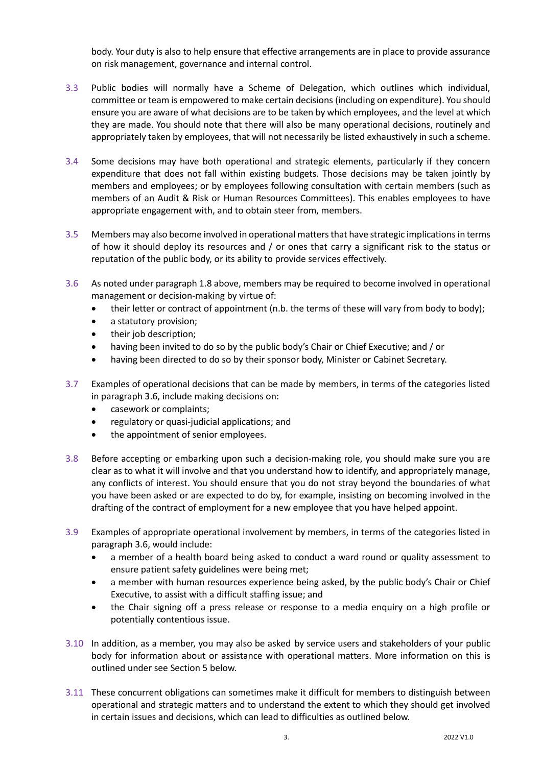body. Your duty is also to help ensure that effective arrangements are in place to provide assurance on risk management, governance and internal control.

- 3.3 Public bodies will normally have a Scheme of Delegation, which outlines which individual, committee or team is empowered to make certain decisions (including on expenditure). You should ensure you are aware of what decisions are to be taken by which employees, and the level at which they are made. You should note that there will also be many operational decisions, routinely and appropriately taken by employees, that will not necessarily be listed exhaustively in such a scheme.
- 3.4 Some decisions may have both operational and strategic elements, particularly if they concern expenditure that does not fall within existing budgets. Those decisions may be taken jointly by members and employees; or by employees following consultation with certain members (such as members of an Audit & Risk or Human Resources Committees). This enables employees to have appropriate engagement with, and to obtain steer from, members.
- 3.5 Members may also become involved in operational matters that have strategic implications in terms of how it should deploy its resources and / or ones that carry a significant risk to the status or reputation of the public body, or its ability to provide services effectively.
- 3.6 As noted under paragraph 1.8 above, members may be required to become involved in operational management or decision-making by virtue of:
	- their letter or contract of appointment (n.b. the terms of these will vary from body to body);
	- a statutory provision;
	- their job description;
	- having been invited to do so by the public body's Chair or Chief Executive; and / or
	- having been directed to do so by their sponsor body, Minister or Cabinet Secretary.
- 3.7 Examples of operational decisions that can be made by members, in terms of the categories listed in paragraph 3.6, include making decisions on:
	- casework or complaints;
	- regulatory or quasi-judicial applications; and
	- the appointment of senior employees.
- 3.8 Before accepting or embarking upon such a decision-making role, you should make sure you are clear as to what it will involve and that you understand how to identify, and appropriately manage, any conflicts of interest. You should ensure that you do not stray beyond the boundaries of what you have been asked or are expected to do by, for example, insisting on becoming involved in the drafting of the contract of employment for a new employee that you have helped appoint.
- 3.9 Examples of appropriate operational involvement by members, in terms of the categories listed in paragraph 3.6, would include:
	- a member of a health board being asked to conduct a ward round or quality assessment to ensure patient safety guidelines were being met;
	- a member with human resources experience being asked, by the public body's Chair or Chief Executive, to assist with a difficult staffing issue; and
	- the Chair signing off a press release or response to a media enquiry on a high profile or potentially contentious issue.
- 3.10 In addition, as a member, you may also be asked by service users and stakeholders of your public body for information about or assistance with operational matters. More information on this is outlined under see Section 5 below.
- 3.11 These concurrent obligations can sometimes make it difficult for members to distinguish between operational and strategic matters and to understand the extent to which they should get involved in certain issues and decisions, which can lead to difficulties as outlined below.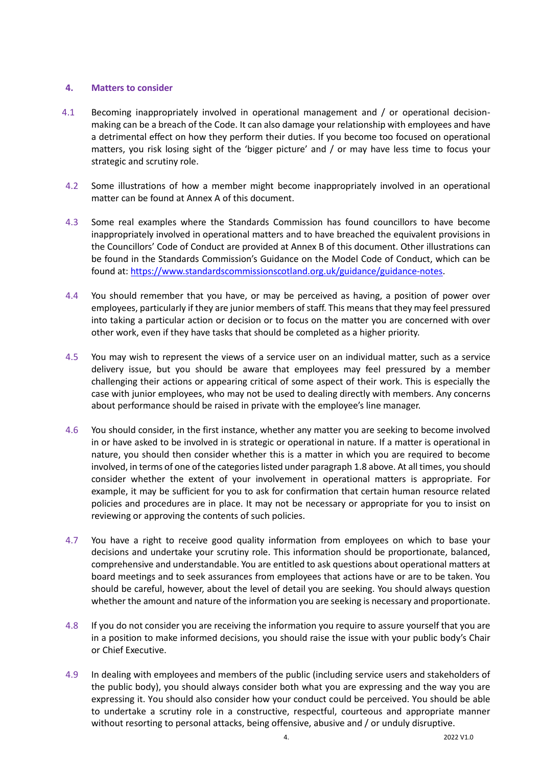#### **4. Matters to consider**

- 4.1 Becoming inappropriately involved in operational management and / or operational decisionmaking can be a breach of the Code. It can also damage your relationship with employees and have a detrimental effect on how they perform their duties. If you become too focused on operational matters, you risk losing sight of the 'bigger picture' and / or may have less time to focus your strategic and scrutiny role.
- 4.2 Some illustrations of how a member might become inappropriately involved in an operational matter can be found at Annex A of this document.
- 4.3 Some real examples where the Standards Commission has found councillors to have become inappropriately involved in operational matters and to have breached the equivalent provisions in the Councillors' Code of Conduct are provided at Annex B of this document. Other illustrations can be found in the Standards Commission's Guidance on the Model Code of Conduct, which can be found at: [https://www.standardscommissionscotland.org.uk/guidance/guidance-notes.](https://www.standardscommissionscotland.org.uk/guidance/guidance-notes)
- 4.4 You should remember that you have, or may be perceived as having, a position of power over employees, particularly if they are junior members of staff. This means that they may feel pressured into taking a particular action or decision or to focus on the matter you are concerned with over other work, even if they have tasks that should be completed as a higher priority.
- 4.5 You may wish to represent the views of a service user on an individual matter, such as a service delivery issue, but you should be aware that employees may feel pressured by a member challenging their actions or appearing critical of some aspect of their work. This is especially the case with junior employees, who may not be used to dealing directly with members. Any concerns about performance should be raised in private with the employee's line manager.
- 4.6 You should consider, in the first instance, whether any matter you are seeking to become involved in or have asked to be involved in is strategic or operational in nature. If a matter is operational in nature, you should then consider whether this is a matter in which you are required to become involved, in terms of one of the categories listed under paragraph 1.8 above. At all times, you should consider whether the extent of your involvement in operational matters is appropriate. For example, it may be sufficient for you to ask for confirmation that certain human resource related policies and procedures are in place. It may not be necessary or appropriate for you to insist on reviewing or approving the contents of such policies.
- 4.7 You have a right to receive good quality information from employees on which to base your decisions and undertake your scrutiny role. This information should be proportionate, balanced, comprehensive and understandable. You are entitled to ask questions about operational matters at board meetings and to seek assurances from employees that actions have or are to be taken. You should be careful, however, about the level of detail you are seeking. You should always question whether the amount and nature of the information you are seeking is necessary and proportionate.
- 4.8 If you do not consider you are receiving the information you require to assure yourself that you are in a position to make informed decisions, you should raise the issue with your public body's Chair or Chief Executive.
- 4.9 In dealing with employees and members of the public (including service users and stakeholders of the public body), you should always consider both what you are expressing and the way you are expressing it. You should also consider how your conduct could be perceived. You should be able to undertake a scrutiny role in a constructive, respectful, courteous and appropriate manner without resorting to personal attacks, being offensive, abusive and / or unduly disruptive.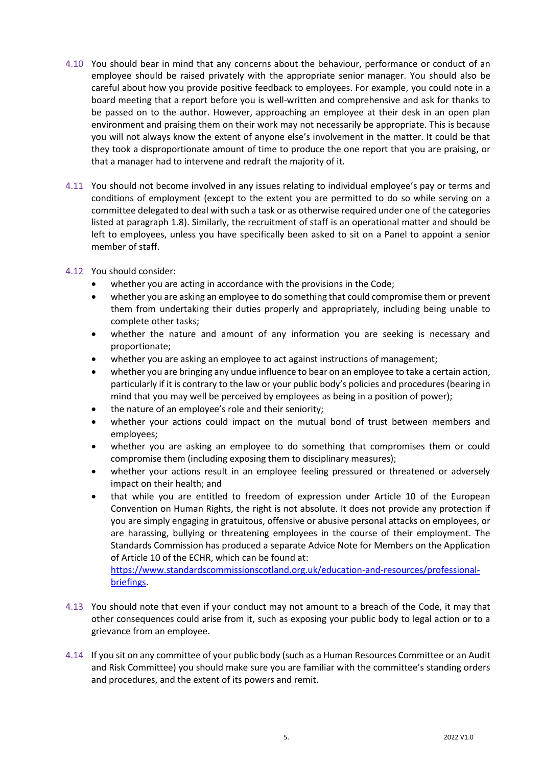- 4.10 You should bear in mind that any concerns about the behaviour, performance or conduct of an employee should be raised privately with the appropriate senior manager. You should also be careful about how you provide positive feedback to employees. For example, you could note in a board meeting that a report before you is well-written and comprehensive and ask for thanks to be passed on to the author. However, approaching an employee at their desk in an open plan environment and praising them on their work may not necessarily be appropriate. This is because you will not always know the extent of anyone else's involvement in the matter. It could be that they took a disproportionate amount of time to produce the one report that you are praising, or that a manager had to intervene and redraft the majority of it.
- 4.11 You should not become involved in any issues relating to individual employee's pay or terms and conditions of employment (except to the extent you are permitted to do so while serving on a committee delegated to deal with such a task or as otherwise required under one of the categories listed at paragraph 1.8). Similarly, the recruitment of staff is an operational matter and should be left to employees, unless you have specifically been asked to sit on a Panel to appoint a senior member of staff.
- 4.12 You should consider:
	- whether you are acting in accordance with the provisions in the Code;
	- whether you are asking an employee to do something that could compromise them or prevent them from undertaking their duties properly and appropriately, including being unable to complete other tasks;
	- whether the nature and amount of any information you are seeking is necessary and proportionate;
	- whether you are asking an employee to act against instructions of management;
	- whether you are bringing any undue influence to bear on an employee to take a certain action, particularly if it is contrary to the law or your public body's policies and procedures (bearing in mind that you may well be perceived by employees as being in a position of power);
	- the nature of an employee's role and their seniority;
	- whether your actions could impact on the mutual bond of trust between members and employees;
	- whether you are asking an employee to do something that compromises them or could compromise them (including exposing them to disciplinary measures);
	- whether your actions result in an employee feeling pressured or threatened or adversely impact on their health; and
	- that while you are entitled to freedom of expression under Article 10 of the European Convention on Human Rights, the right is not absolute. It does not provide any protection if you are simply engaging in gratuitous, offensive or abusive personal attacks on employees, or are harassing, bullying or threatening employees in the course of their employment. The Standards Commission has produced a separate Advice Note for Members on the Application of Article 10 of the ECHR, which can be found at:

[https://www.standardscommissionscotland.org.uk/education-and-resources/professional](https://www.standardscommissionscotland.org.uk/education-and-resources/professional-briefings)[briefings.](https://www.standardscommissionscotland.org.uk/education-and-resources/professional-briefings)

- 4.13 You should note that even if your conduct may not amount to a breach of the Code, it may that other consequences could arise from it, such as exposing your public body to legal action or to a grievance from an employee.
- 4.14 If you sit on any committee of your public body (such as a Human Resources Committee or an Audit and Risk Committee) you should make sure you are familiar with the committee's standing orders and procedures, and the extent of its powers and remit.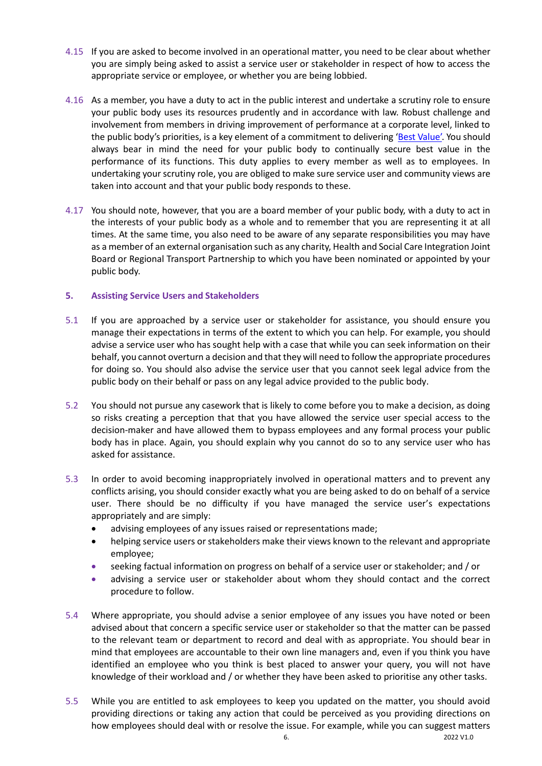- 4.15 If you are asked to become involved in an operational matter, you need to be clear about whether you are simply being asked to assist a service user or stakeholder in respect of how to access the appropriate service or employee, or whether you are being lobbied.
- 4.16 As a member, you have a duty to act in the public interest and undertake a scrutiny role to ensure your public body uses its resources prudently and in accordance with law. Robust challenge and involvement from members in driving improvement of performance at a corporate level, linked to the public body's priorities, is a key element of a commitment to delivering ['Best Value'.](https://www.gov.scot/publications/best-value-revised-statutory-guidance-2020/) You should always bear in mind the need for your public body to continually secure best value in the performance of its functions. This duty applies to every member as well as to employees. In undertaking your scrutiny role, you are obliged to make sure service user and community views are taken into account and that your public body responds to these.
- 4.17 You should note, however, that you are a board member of your public body, with a duty to act in the interests of your public body as a whole and to remember that you are representing it at all times. At the same time, you also need to be aware of any separate responsibilities you may have as a member of an external organisation such as any charity, Health and Social Care Integration Joint Board or Regional Transport Partnership to which you have been nominated or appointed by your public body.

#### **5. Assisting Service Users and Stakeholders**

- 5.1 If you are approached by a service user or stakeholder for assistance, you should ensure you manage their expectations in terms of the extent to which you can help. For example, you should advise a service user who has sought help with a case that while you can seek information on their behalf, you cannot overturn a decision and that they will need to follow the appropriate procedures for doing so. You should also advise the service user that you cannot seek legal advice from the public body on their behalf or pass on any legal advice provided to the public body.
- 5.2 You should not pursue any casework that is likely to come before you to make a decision, as doing so risks creating a perception that that you have allowed the service user special access to the decision-maker and have allowed them to bypass employees and any formal process your public body has in place. Again, you should explain why you cannot do so to any service user who has asked for assistance.
- 5.3 In order to avoid becoming inappropriately involved in operational matters and to prevent any conflicts arising, you should consider exactly what you are being asked to do on behalf of a service user. There should be no difficulty if you have managed the service user's expectations appropriately and are simply:
	- advising employees of any issues raised or representations made;
	- helping service users or stakeholders make their views known to the relevant and appropriate employee;
	- seeking factual information on progress on behalf of a service user or stakeholder; and / or
	- advising a service user or stakeholder about whom they should contact and the correct procedure to follow.
- 5.4 Where appropriate, you should advise a senior employee of any issues you have noted or been advised about that concern a specific service user or stakeholder so that the matter can be passed to the relevant team or department to record and deal with as appropriate. You should bear in mind that employees are accountable to their own line managers and, even if you think you have identified an employee who you think is best placed to answer your query, you will not have knowledge of their workload and / or whether they have been asked to prioritise any other tasks.
- 5.5 While you are entitled to ask employees to keep you updated on the matter, you should avoid providing directions or taking any action that could be perceived as you providing directions on how employees should deal with or resolve the issue. For example, while you can suggest matters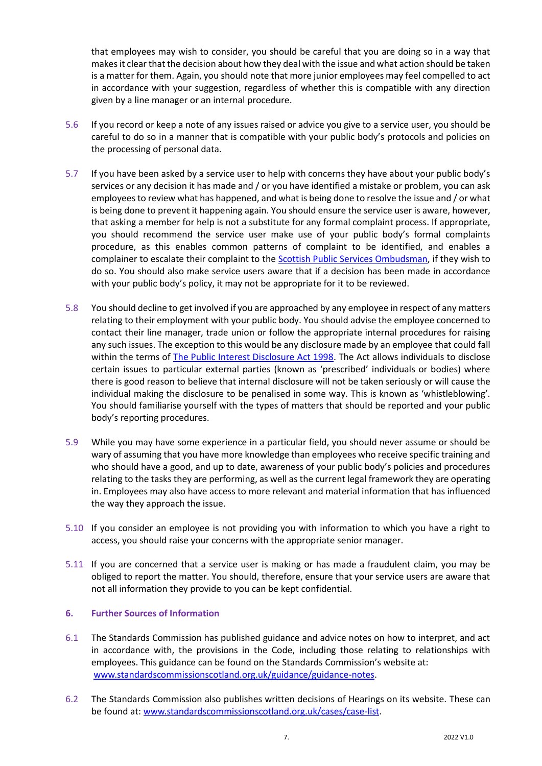that employees may wish to consider, you should be careful that you are doing so in a way that makes it clear that the decision about how they deal with the issue and what action should be taken is a matter for them. Again, you should note that more junior employees may feel compelled to act in accordance with your suggestion, regardless of whether this is compatible with any direction given by a line manager or an internal procedure.

- 5.6 If you record or keep a note of any issues raised or advice you give to a service user, you should be careful to do so in a manner that is compatible with your public body's protocols and policies on the processing of personal data.
- 5.7 If you have been asked by a service user to help with concerns they have about your public body's services or any decision it has made and / or you have identified a mistake or problem, you can ask employees to review what has happened, and what is being done to resolve the issue and / or what is being done to prevent it happening again. You should ensure the service user is aware, however, that asking a member for help is not a substitute for any formal complaint process. If appropriate, you should recommend the service user make use of your public body's formal complaints procedure, as this enables common patterns of complaint to be identified, and enables a complainer to escalate their complaint to th[e Scottish Public Services Ombudsman,](https://www.spso.org.uk/) if they wish to do so. You should also make service users aware that if a decision has been made in accordance with your public body's policy, it may not be appropriate for it to be reviewed.
- 5.8 You should decline to get involved if you are approached by any employee in respect of any matters relating to their employment with your public body. You should advise the employee concerned to contact their line manager, trade union or follow the appropriate internal procedures for raising any such issues. The exception to this would be any disclosure made by an employee that could fall within the terms of [The Public Interest Disclosure Act 1998.](https://consent.google.co.uk/ml?continue=https://www.google.co.uk/&gl=GB&m=0&pc=shp&hl=en&src=1) The Act allows individuals to disclose certain issues to particular external parties (known as 'prescribed' individuals or bodies) where there is good reason to believe that internal disclosure will not be taken seriously or will cause the individual making the disclosure to be penalised in some way. This is known as 'whistleblowing'. You should familiarise yourself with the types of matters that should be reported and your public body's reporting procedures.
- 5.9 While you may have some experience in a particular field, you should never assume or should be wary of assuming that you have more knowledge than employees who receive specific training and who should have a good, and up to date, awareness of your public body's policies and procedures relating to the tasks they are performing, as well as the current legal framework they are operating in. Employees may also have access to more relevant and material information that has influenced the way they approach the issue.
- 5.10 If you consider an employee is not providing you with information to which you have a right to access, you should raise your concerns with the appropriate senior manager.
- 5.11 If you are concerned that a service user is making or has made a fraudulent claim, you may be obliged to report the matter. You should, therefore, ensure that your service users are aware that not all information they provide to you can be kept confidential.

#### **6. Further Sources of Information**

- 6.1 The Standards Commission has published guidance and advice notes on how to interpret, and act in accordance with, the provisions in the Code, including those relating to relationships with employees. This guidance can be found on the Standards Commission's website at: [www.standardscommissionscotland.org.uk/guidance/guidance-notes.](http://www.standardscommissionscotland.org.uk/guidance/guidance-notes)
- 6.2 The Standards Commission also publishes written decisions of Hearings on its website. These can be found at: [www.standardscommissionscotland.org.uk/cases/case-list.](http://www.standardscommissionscotland.org.uk/cases/case-list)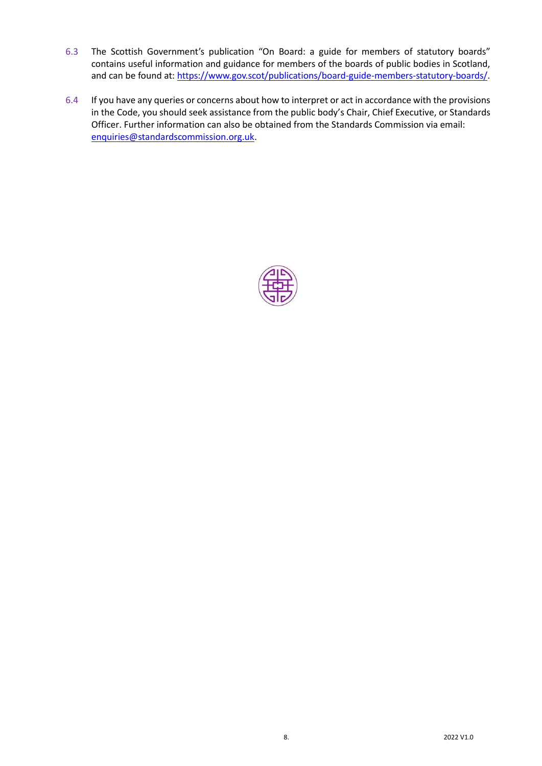- 6.3 The Scottish Government's publication "On Board: a guide for members of statutory boards" contains useful information and guidance for members of the boards of public bodies in Scotland, and can be found at[: https://www.gov.scot/publications/board-guide-members-statutory-boards/.](https://www.gov.scot/publications/board-guide-members-statutory-boards/)
- 6.4 If you have any queries or concerns about how to interpret or act in accordance with the provisions in the Code, you should seek assistance from the public body's Chair, Chief Executive, or Standards Officer. Further information can also be obtained from the Standards Commission via email: [enquiries@standardscommission.org.uk.](mailto:enquiries@standardscommission.org.uk)

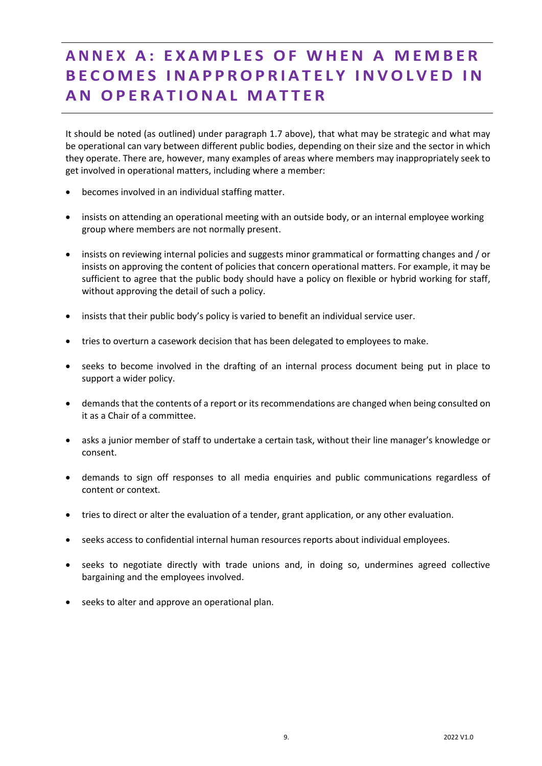## **A N N E X A : E X A M P L E S O F W H E N A M E M B E R B E C O M E S I N A P P R O P R I A T E L Y I N V O L V E D I N A N O P E R A T I O N A L M A T T E R**

It should be noted (as outlined) under paragraph 1.7 above), that what may be strategic and what may be operational can vary between different public bodies, depending on their size and the sector in which they operate. There are, however, many examples of areas where members may inappropriately seek to get involved in operational matters, including where a member:

- becomes involved in an individual staffing matter.
- insists on attending an operational meeting with an outside body, or an internal employee working group where members are not normally present.
- insists on reviewing internal policies and suggests minor grammatical or formatting changes and / or insists on approving the content of policies that concern operational matters. For example, it may be sufficient to agree that the public body should have a policy on flexible or hybrid working for staff, without approving the detail of such a policy.
- insists that their public body's policy is varied to benefit an individual service user.
- tries to overturn a casework decision that has been delegated to employees to make.
- seeks to become involved in the drafting of an internal process document being put in place to support a wider policy.
- demands that the contents of a report or its recommendations are changed when being consulted on it as a Chair of a committee.
- asks a junior member of staff to undertake a certain task, without their line manager's knowledge or consent.
- demands to sign off responses to all media enquiries and public communications regardless of content or context.
- tries to direct or alter the evaluation of a tender, grant application, or any other evaluation.
- seeks access to confidential internal human resources reports about individual employees.
- seeks to negotiate directly with trade unions and, in doing so, undermines agreed collective bargaining and the employees involved.
- seeks to alter and approve an operational plan.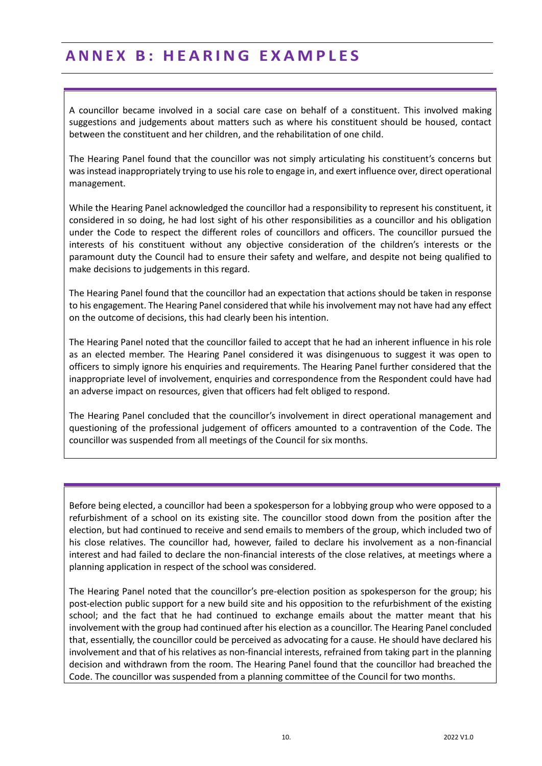### **A N N E X B : H E A R I N G E X A M P L E S**

A councillor became involved in a social care case on behalf of a constituent. This involved making suggestions and judgements about matters such as where his constituent should be housed, contact between the constituent and her children, and the rehabilitation of one child.

The Hearing Panel found that the councillor was not simply articulating his constituent's concerns but was instead inappropriately trying to use his role to engage in, and exert influence over, direct operational management.

While the Hearing Panel acknowledged the councillor had a responsibility to represent his constituent, it considered in so doing, he had lost sight of his other responsibilities as a councillor and his obligation under the Code to respect the different roles of councillors and officers. The councillor pursued the interests of his constituent without any objective consideration of the children's interests or the paramount duty the Council had to ensure their safety and welfare, and despite not being qualified to make decisions to judgements in this regard.

The Hearing Panel found that the councillor had an expectation that actions should be taken in response to his engagement. The Hearing Panel considered that while his involvement may not have had any effect on the outcome of decisions, this had clearly been his intention.

The Hearing Panel noted that the councillor failed to accept that he had an inherent influence in his role as an elected member. The Hearing Panel considered it was disingenuous to suggest it was open to officers to simply ignore his enquiries and requirements. The Hearing Panel further considered that the inappropriate level of involvement, enquiries and correspondence from the Respondent could have had an adverse impact on resources, given that officers had felt obliged to respond.

The Hearing Panel concluded that the councillor's involvement in direct operational management and questioning of the professional judgement of officers amounted to a contravention of the Code. The councillor was suspended from all meetings of the Council for six months.

Before being elected, a councillor had been a spokesperson for a lobbying group who were opposed to a refurbishment of a school on its existing site. The councillor stood down from the position after the election, but had continued to receive and send emails to members of the group, which included two of his close relatives. The councillor had, however, failed to declare his involvement as a non-financial interest and had failed to declare the non-financial interests of the close relatives, at meetings where a planning application in respect of the school was considered.

The Hearing Panel noted that the councillor's pre-election position as spokesperson for the group; his post-election public support for a new build site and his opposition to the refurbishment of the existing school; and the fact that he had continued to exchange emails about the matter meant that his involvement with the group had continued after his election as a councillor. The Hearing Panel concluded that, essentially, the councillor could be perceived as advocating for a cause. He should have declared his involvement and that of his relatives as non-financial interests, refrained from taking part in the planning decision and withdrawn from the room. The Hearing Panel found that the councillor had breached the Code. The councillor was suspended from a planning committee of the Council for two months.